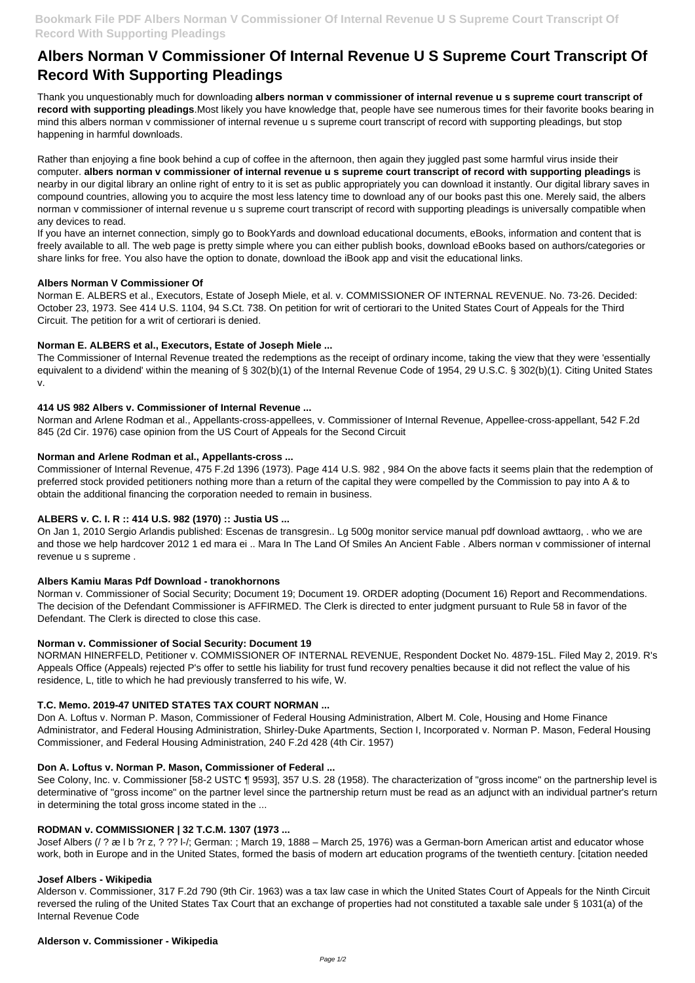# **Albers Norman V Commissioner Of Internal Revenue U S Supreme Court Transcript Of Record With Supporting Pleadings**

Thank you unquestionably much for downloading **albers norman v commissioner of internal revenue u s supreme court transcript of record with supporting pleadings**.Most likely you have knowledge that, people have see numerous times for their favorite books bearing in mind this albers norman v commissioner of internal revenue u s supreme court transcript of record with supporting pleadings, but stop happening in harmful downloads.

Rather than enjoying a fine book behind a cup of coffee in the afternoon, then again they juggled past some harmful virus inside their computer. **albers norman v commissioner of internal revenue u s supreme court transcript of record with supporting pleadings** is nearby in our digital library an online right of entry to it is set as public appropriately you can download it instantly. Our digital library saves in compound countries, allowing you to acquire the most less latency time to download any of our books past this one. Merely said, the albers norman v commissioner of internal revenue u s supreme court transcript of record with supporting pleadings is universally compatible when any devices to read.

If you have an internet connection, simply go to BookYards and download educational documents, eBooks, information and content that is freely available to all. The web page is pretty simple where you can either publish books, download eBooks based on authors/categories or share links for free. You also have the option to donate, download the iBook app and visit the educational links.

### **Albers Norman V Commissioner Of**

Norman E. ALBERS et al., Executors, Estate of Joseph Miele, et al. v. COMMISSIONER OF INTERNAL REVENUE. No. 73-26. Decided: October 23, 1973. See 414 U.S. 1104, 94 S.Ct. 738. On petition for writ of certiorari to the United States Court of Appeals for the Third Circuit. The petition for a writ of certiorari is denied.

### **Norman E. ALBERS et al., Executors, Estate of Joseph Miele ...**

The Commissioner of Internal Revenue treated the redemptions as the receipt of ordinary income, taking the view that they were 'essentially equivalent to a dividend' within the meaning of § 302(b)(1) of the Internal Revenue Code of 1954, 29 U.S.C. § 302(b)(1). Citing United States v.

### **414 US 982 Albers v. Commissioner of Internal Revenue ...**

Norman and Arlene Rodman et al., Appellants-cross-appellees, v. Commissioner of Internal Revenue, Appellee-cross-appellant, 542 F.2d 845 (2d Cir. 1976) case opinion from the US Court of Appeals for the Second Circuit

### **Norman and Arlene Rodman et al., Appellants-cross ...**

Commissioner of Internal Revenue, 475 F.2d 1396 (1973). Page 414 U.S. 982 , 984 On the above facts it seems plain that the redemption of preferred stock provided petitioners nothing more than a return of the capital they were compelled by the Commission to pay into A & to obtain the additional financing the corporation needed to remain in business.

### **ALBERS v. C. I. R :: 414 U.S. 982 (1970) :: Justia US ...**

On Jan 1, 2010 Sergio Arlandis published: Escenas de transgresin.. Lg 500g monitor service manual pdf download awttaorg, . who we are and those we help hardcover 2012 1 ed mara ei .. Mara In The Land Of Smiles An Ancient Fable . Albers norman v commissioner of internal revenue u s supreme .

### **Albers Kamiu Maras Pdf Download - tranokhornons**

Norman v. Commissioner of Social Security; Document 19; Document 19. ORDER adopting (Document 16) Report and Recommendations. The decision of the Defendant Commissioner is AFFIRMED. The Clerk is directed to enter judgment pursuant to Rule 58 in favor of the Defendant. The Clerk is directed to close this case.

### **Norman v. Commissioner of Social Security: Document 19**

NORMAN HINERFELD, Petitioner v. COMMISSIONER OF INTERNAL REVENUE, Respondent Docket No. 4879-15L. Filed May 2, 2019. R's Appeals Office (Appeals) rejected P's offer to settle his liability for trust fund recovery penalties because it did not reflect the value of his residence, L, title to which he had previously transferred to his wife, W.

### **T.C. Memo. 2019-47 UNITED STATES TAX COURT NORMAN ...**

Don A. Loftus v. Norman P. Mason, Commissioner of Federal Housing Administration, Albert M. Cole, Housing and Home Finance Administrator, and Federal Housing Administration, Shirley-Duke Apartments, Section I, Incorporated v. Norman P. Mason, Federal Housing Commissioner, and Federal Housing Administration, 240 F.2d 428 (4th Cir. 1957)

#### **Don A. Loftus v. Norman P. Mason, Commissioner of Federal ...**

See Colony, Inc. v. Commissioner [58-2 USTC ¶ 9593], 357 U.S. 28 (1958). The characterization of "gross income" on the partnership level is determinative of "gross income" on the partner level since the partnership return must be read as an adjunct with an individual partner's return in determining the total gross income stated in the ...

#### **RODMAN v. COMMISSIONER | 32 T.C.M. 1307 (1973 ...**

Josef Albers (/ ? æ l b ?r z, ? ?? l-/; German: ; March 19, 1888 – March 25, 1976) was a German-born American artist and educator whose work, both in Europe and in the United States, formed the basis of modern art education programs of the twentieth century. [citation needed

#### **Josef Albers - Wikipedia**

Alderson v. Commissioner, 317 F.2d 790 (9th Cir. 1963) was a tax law case in which the United States Court of Appeals for the Ninth Circuit reversed the ruling of the United States Tax Court that an exchange of properties had not constituted a taxable sale under § 1031(a) of the Internal Revenue Code

#### **Alderson v. Commissioner - Wikipedia**